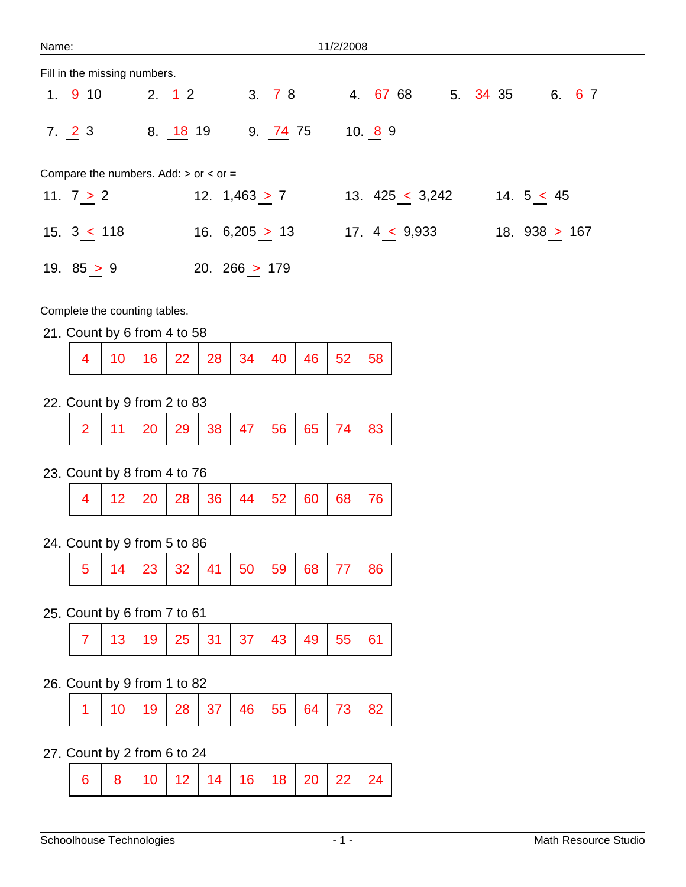| Name:                        |                                             |                  | 11/2/2008          |          |                 |
|------------------------------|---------------------------------------------|------------------|--------------------|----------|-----------------|
| Fill in the missing numbers. |                                             |                  |                    |          |                 |
| 1.910                        | 2. 12                                       | 3.78             | 4. 67 68           | 5. 34 35 | 6. 6 7          |
| 7.23                         | 8. 18 19                                    | 9. 74 75         | 10.89              |          |                 |
|                              | Compare the numbers. Add: $>$ or $<$ or $=$ |                  |                    |          |                 |
| 11. $7 > 2$                  |                                             | 12. $1,463 > 7$  | 13. $425 < 3,242$  |          | 14. $5 < 45$    |
| 15.3 < 118                   |                                             | 16. $6,205 > 13$ | 17. $4 \leq 9,933$ |          | 18. $938 > 167$ |
| 19. $85 > 9$                 |                                             | 20. 266 $> 179$  |                    |          |                 |

Complete the counting tables.

21. Count by 6 from 4 to 58

|  | 4   10   16   22   28   34   40   46   52   58 |  |  |  |  |  |  |  |  |
|--|------------------------------------------------|--|--|--|--|--|--|--|--|
|--|------------------------------------------------|--|--|--|--|--|--|--|--|

22. Count by 9 from 2 to 83

|  | 2   11   20   29   38   47   56   65   74   83 |  |  |  |  |  |  |  |  |  |
|--|------------------------------------------------|--|--|--|--|--|--|--|--|--|
|--|------------------------------------------------|--|--|--|--|--|--|--|--|--|

23. Count by 8 from 4 to 76

|  | $4   12   20   28   36   44   52   60   68   76$ |  |  |  |  |  |  |  |  |
|--|--------------------------------------------------|--|--|--|--|--|--|--|--|
|--|--------------------------------------------------|--|--|--|--|--|--|--|--|

24. Count by 9 from 5 to 86

|  | $5$   14   23   32   41   50   59   68   77   86 |  |  |  |  |  |  |  |  |
|--|--------------------------------------------------|--|--|--|--|--|--|--|--|
|--|--------------------------------------------------|--|--|--|--|--|--|--|--|

25. Count by 6 from 7 to 61

| │ │ 13 │ 19 │ 25 │ 31 │ 37 │ 43 │ 49 │ 55 │ 61 │ |  |
|--------------------------------------------------|--|
|--------------------------------------------------|--|

26. Count by 9 from 1 to 82

|  | $1   10   19   28   37   46   55   64   73   82$ |  |  |  |  |  |  |  |  |
|--|--------------------------------------------------|--|--|--|--|--|--|--|--|
|--|--------------------------------------------------|--|--|--|--|--|--|--|--|

27. Count by 2 from 6 to 24

|  |  | $6$   8   10   12   14   16   18   20   22   24 |  |  |  |  |  |  |  |
|--|--|-------------------------------------------------|--|--|--|--|--|--|--|
|--|--|-------------------------------------------------|--|--|--|--|--|--|--|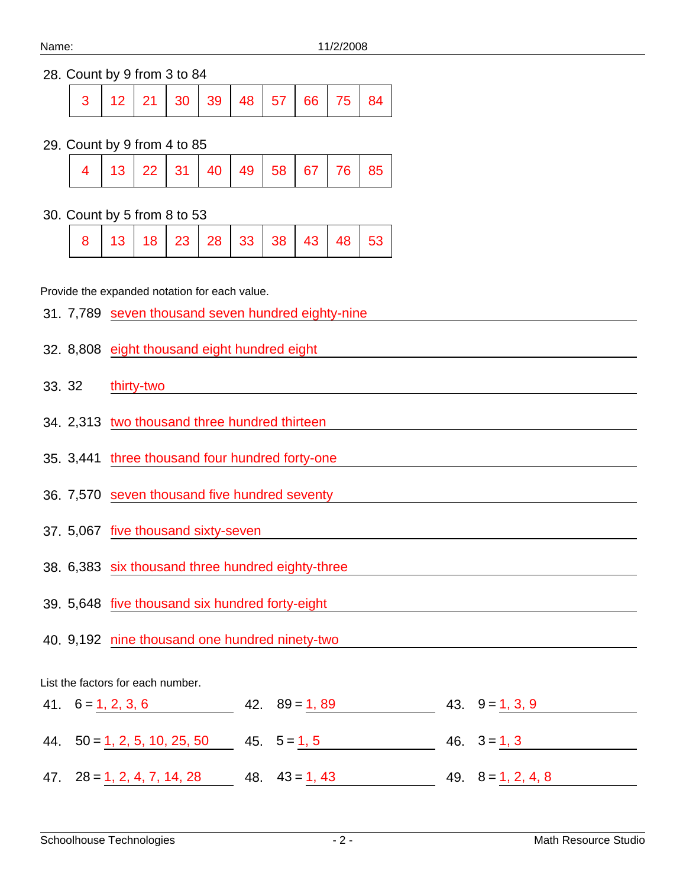# 28. Count by 9 from 3 to 84

|  |  |  | $3   12   21   30   39   48   57   66   75   84  $ |  |  |
|--|--|--|----------------------------------------------------|--|--|
|  |  |  |                                                    |  |  |

#### 29. Count by 9 from 4 to 85

|  |  |  |  |  |  |  |  | $4$   13   22   31   40   49   58   67   76   85 |  |
|--|--|--|--|--|--|--|--|--------------------------------------------------|--|
|--|--|--|--|--|--|--|--|--------------------------------------------------|--|

### 30. Count by 5 from 8 to 53

|  |  |  |  |  |  |  |  | 8   13   18   23   28   33   38   43   48   53 |  |
|--|--|--|--|--|--|--|--|------------------------------------------------|--|
|--|--|--|--|--|--|--|--|------------------------------------------------|--|

## Provide the expanded notation for each value.

|        | 31. 7,789 seven thousand seven hundred eighty-nine           |
|--------|--------------------------------------------------------------|
|        | 32. 8,808 eight thousand eight hundred eight                 |
| 33. 32 | thirty-two                                                   |
|        | 34. 2,313 two thousand three hundred thirteen                |
|        | 35. 3,441 three thousand four hundred forty-one              |
|        | 36. 7,570 seven thousand five hundred seventy                |
|        | 37. 5,067 five thousand sixty-seven                          |
|        | 38. 6,383 six thousand three hundred eighty-three            |
|        | 39. 5,648 five thousand six hundred forty-eight              |
|        | 40. 9,192 nine thousand one hundred ninety-two               |
|        | List the factors for each number.                            |
|        | 42. $89 = 1,89$<br>$41. 6 = 1, 2, 3, 6$<br>43. $9 = 1, 3, 9$ |

| 44. $50 = 1, 2, 5, 10, 25, 50$      | $45. \quad 5 = 1, 5$ | $46. \quad 3 = 1, 3$       |
|-------------------------------------|----------------------|----------------------------|
|                                     |                      |                            |
| $47. \quad 28 = 1, 2, 4, 7, 14, 28$ | 48. $43 = 1, 43$     | $49. \quad 8 = 1, 2, 4, 8$ |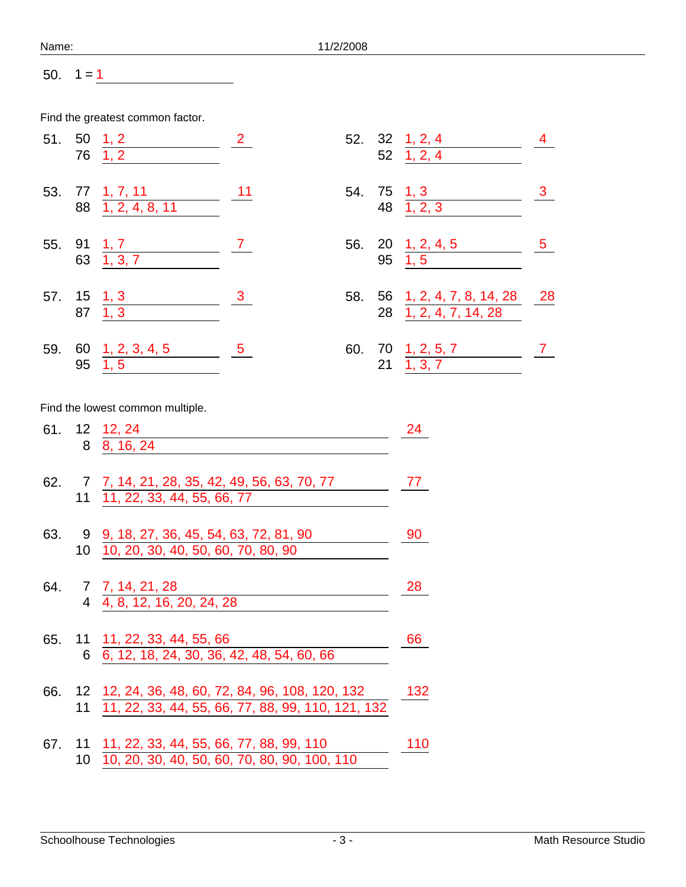| Name: | 11/2/2008 |
|-------|-----------|
|-------|-----------|

50.  $1 = 1$ 

Find the greatest common factor.

|     | 51.501,2<br>76 1, 2                  | $\overline{2}$  |  | 52. 32 1, 2, 4<br>$52 \quad 1, 2, 4$                  |             |
|-----|--------------------------------------|-----------------|--|-------------------------------------------------------|-------------|
|     | 53. 77 1, 7, 11<br>88 1, 2, 4, 8, 11 | 11              |  | 54. 75 1, 3<br>48 1, 2, 3                             |             |
|     | 55. 91 1, 7<br>63 1, 3, 7            | $7\overline{)}$ |  | 56. 20 1, 2, 4, 5<br>$95 \quad 1,5$                   | $5^{\circ}$ |
|     | 57. 15 1, 3<br>87 1, 3               | $\frac{3}{2}$   |  | 58. 56 1, 2, 4, 7, 8, 14, 28<br>28 1, 2, 4, 7, 14, 28 | 28          |
| 59. | 60 1, 2, 3, 4, 5<br>$95 \quad 1,5$   | $-5$            |  | 60. 70 1, 2, 5, 7<br>$21 \quad 1, 3, 7$               |             |

Find the lowest common multiple.

|  | 61. 12 12, 24<br>8 8, 16, 24                                                                                 | 24  |
|--|--------------------------------------------------------------------------------------------------------------|-----|
|  | 62. 7 7, 14, 21, 28, 35, 42, 49, 56, 63, 70, 77<br>11 11, 22, 33, 44, 55, 66, 77                             | 77  |
|  | 63. 9 9, 18, 27, 36, 45, 54, 63, 72, 81, 90<br>10 10, 20, 30, 40, 50, 60, 70, 80, 90                         | 90  |
|  | 64. 7 7, 14, 21, 28<br>4 4, 8, 12, 16, 20, 24, 28                                                            | 28  |
|  | 65. 11 11, 22, 33, 44, 55, 66<br>6 6, 12, 18, 24, 30, 36, 42, 48, 54, 60, 66                                 | 66  |
|  | 66. 12 12, 24, 36, 48, 60, 72, 84, 96, 108, 120, 132<br>11 11, 22, 33, 44, 55, 66, 77, 88, 99, 110, 121, 132 | 132 |
|  | 67. 11 11, 22, 33, 44, 55, 66, 77, 88, 99, 110<br>10 10, 20, 30, 40, 50, 60, 70, 80, 90, 100, 110            | 110 |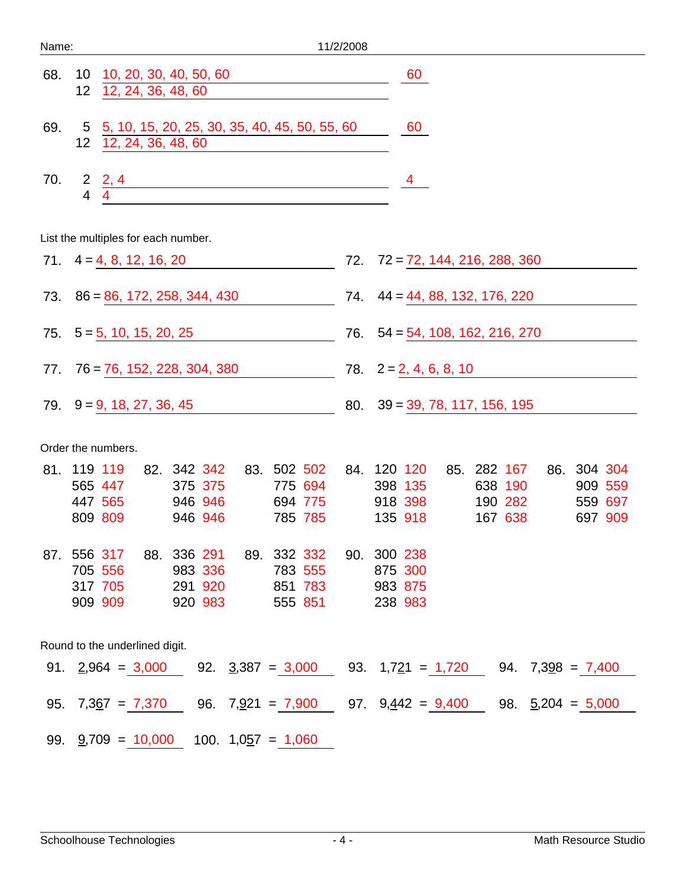| Name:                          |                                                                                                                                              | 11/2/2008                                                                                                                                    |  |  |
|--------------------------------|----------------------------------------------------------------------------------------------------------------------------------------------|----------------------------------------------------------------------------------------------------------------------------------------------|--|--|
| 68.                            | 10 10, 20, 30, 40, 50, 60<br>12, 24, 36, 48, 60<br>12 <sup>2</sup>                                                                           | 60                                                                                                                                           |  |  |
| 69.                            | 5, 10, 15, 20, 25, 30, 35, 40, 45, 50, 55, 60<br>$5\overline{)}$<br>12 <sub>2</sub><br>12, 24, 36, 48, 60                                    | 60                                                                                                                                           |  |  |
| 70.                            | $\frac{2}{4}$ , $\frac{2}{4}$<br><u> 1989 - Johann Barbara, martin amerikan ba</u>                                                           | $\overline{4}$                                                                                                                               |  |  |
|                                | List the multiples for each number.                                                                                                          |                                                                                                                                              |  |  |
|                                | 71. $4 = 4, 8, 12, 16, 20$                                                                                                                   | $72.72 = 72, 144, 216, 288, 360$                                                                                                             |  |  |
|                                | 73. $86 = 86, 172, 258, 344, 430$                                                                                                            | 74. $44 = 44, 88, 132, 176, 220$                                                                                                             |  |  |
|                                | $75. 5 = 5, 10, 15, 20, 25$                                                                                                                  | 76. $54 = 54, 108, 162, 216, 270$                                                                                                            |  |  |
|                                | $77.76 = 76, 152, 228, 304, 380$                                                                                                             | 78. $2 = 2, 4, 6, 8, 10$                                                                                                                     |  |  |
|                                | $79. \quad 9 = 9, 18, 27, 36, 45$                                                                                                            | $80. \quad 39 = 39, 78, 117, 156, 195$                                                                                                       |  |  |
| Order the numbers.             |                                                                                                                                              |                                                                                                                                              |  |  |
|                                | 82. 342 342 83. 502 502<br>81. 119 119<br>565 447<br>375 375<br>775 694<br>447 565<br>694 775<br>946 946<br>809 809<br>946 946<br>785 785    | 86. 304 304<br>84. 120 120<br>85. 282 167<br>398 135<br>638 190<br>909 559<br>190 282<br>918 398<br>559 697<br>135 918<br>167 638<br>697 909 |  |  |
|                                | 87. 556 317<br>88. 336 291<br>89. 332 332<br>705 556<br>983 336<br>783 555<br>317 705<br>291 920<br>851 783<br>909 909<br>920 983<br>555 851 | 90. 300 238<br>875 300<br>983 875<br>238 983                                                                                                 |  |  |
| Round to the underlined digit. |                                                                                                                                              |                                                                                                                                              |  |  |
|                                |                                                                                                                                              | 91. $\underline{2,964} = 3,000$ 92. $\underline{3,387} = 3,000$ 93. $1,7\underline{21} = 1,720$ 94. $7,3\underline{98} = 7,400$              |  |  |
|                                |                                                                                                                                              | 95. $7,367 = 7,370$ 96. $7,921 = 7,900$ 97. $9,442 = 9,400$ 98. $5,204 = 5,000$                                                              |  |  |
|                                | 99. $\frac{9}{2}$ ,709 = 10,000<br>100. $1,057 = 1,060$                                                                                      |                                                                                                                                              |  |  |